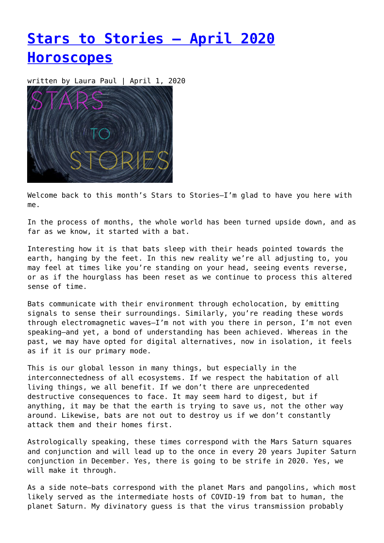# **[Stars to Stories – April 2020](https://entropymag.org/stars-to-stories-april-2020-horoscopes/) [Horoscopes](https://entropymag.org/stars-to-stories-april-2020-horoscopes/)**

written by Laura Paul | April 1, 2020



Welcome back to this month's Stars to Stories-I'm glad to have you here with me.

In the process of months, the whole world has been turned upside down, and as far as we know, it started with a bat.

Interesting how it is that bats sleep with their heads pointed towards the earth, hanging by the feet. In this new reality we're all adjusting to, you may feel at times like you're standing on your head, seeing events reverse, or as if the hourglass has been reset as we continue to process this altered sense of time.

Bats communicate with their environment through echolocation, by emitting signals to sense their surroundings. Similarly, you're reading these words through electromagnetic waves—I'm not with you there in person, I'm not even speaking—and yet, a bond of understanding has been achieved. Whereas in the past, we may have opted for digital alternatives, now in isolation, it feels as if it is our primary mode.

This is our global lesson in many things, but especially in the interconnectedness of all ecosystems. If we respect the habitation of all living things, we all benefit. If we don't there are unprecedented destructive consequences to face. It may seem hard to digest, but if anything, it may be that the earth is trying to save us, not the other way around. Likewise, bats are not out to destroy us if we don't constantly attack them and their homes first.

Astrologically speaking, these times correspond with the Mars Saturn squares and conjunction and will lead up to the once in every 20 years Jupiter Saturn conjunction in December. Yes, there is going to be strife in 2020. Yes, we will make it through.

As a side note—bats correspond with the planet Mars and pangolins, which most likely served as the intermediate hosts of COVID-19 from bat to human, the planet Saturn. My divinatory guess is that the virus transmission probably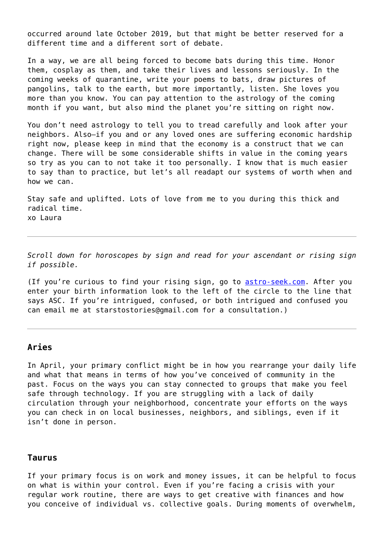occurred around late October 2019, but that might be better reserved for a different time and a different sort of debate.

In a way, we are all being forced to become bats during this time. Honor them, cosplay as them, and take their lives and lessons seriously. In the coming weeks of quarantine, write your poems to bats, draw pictures of pangolins, talk to the earth, but more importantly, listen. She loves you more than you know. You can pay attention to the astrology of the coming month if you want, but also mind the planet you're sitting on right now.

You don't need astrology to tell you to tread carefully and look after your neighbors. Also—if you and or any loved ones are suffering economic hardship right now, please keep in mind that the economy is a construct that we can change. There will be some considerable shifts in value in the coming years so try as you can to not take it too personally. I know that is much easier to say than to practice, but let's all readapt our systems of worth when and how we can.

Stay safe and uplifted. Lots of love from me to you during this thick and radical time. xo Laura

*Scroll down for horoscopes by sign and read for your ascendant or rising sign if possible.*

(If you're curious to find your rising sign, go to [astro-seek.com.](https://entropymag.org/astro-seek.com) After you enter your birth information look to the left of the circle to the line that says ASC. If you're intrigued, confused, or both intrigued and confused you can email me at starstostories@gmail.com for a consultation.)

## **Aries**

In April, your primary conflict might be in how you rearrange your daily life and what that means in terms of how you've conceived of community in the past. Focus on the ways you can stay connected to groups that make you feel safe through technology. If you are struggling with a lack of daily circulation through your neighborhood, concentrate your efforts on the ways you can check in on local businesses, neighbors, and siblings, even if it isn't done in person.

#### **Taurus**

If your primary focus is on work and money issues, it can be helpful to focus on what is within your control. Even if you're facing a crisis with your regular work routine, there are ways to get creative with finances and how you conceive of individual vs. collective goals. During moments of overwhelm,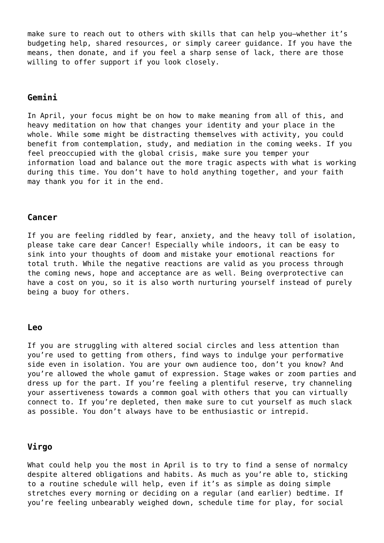make sure to reach out to others with skills that can help you—whether it's budgeting help, shared resources, or simply career guidance. If you have the means, then donate, and if you feel a sharp sense of lack, there are those willing to offer support if you look closely.

### **Gemini**

In April, your focus might be on how to make meaning from all of this, and heavy meditation on how that changes your identity and your place in the whole. While some might be distracting themselves with activity, you could benefit from contemplation, study, and mediation in the coming weeks. If you feel preoccupied with the global crisis, make sure you temper your information load and balance out the more tragic aspects with what is working during this time. You don't have to hold anything together, and your faith may thank you for it in the end.

#### **Cancer**

If you are feeling riddled by fear, anxiety, and the heavy toll of isolation, please take care dear Cancer! Especially while indoors, it can be easy to sink into your thoughts of doom and mistake your emotional reactions for total truth. While the negative reactions are valid as you process through the coming news, hope and acceptance are as well. Being overprotective can have a cost on you, so it is also worth nurturing yourself instead of purely being a buoy for others.

#### **Leo**

If you are struggling with altered social circles and less attention than you're used to getting from others, find ways to indulge your performative side even in isolation. You are your own audience too, don't you know? And you're allowed the whole gamut of expression. Stage wakes or zoom parties and dress up for the part. If you're feeling a plentiful reserve, try channeling your assertiveness towards a common goal with others that you can virtually connect to. If you're depleted, then make sure to cut yourself as much slack as possible. You don't always have to be enthusiastic or intrepid.

### **Virgo**

What could help you the most in April is to try to find a sense of normalcy despite altered obligations and habits. As much as you're able to, sticking to a routine schedule will help, even if it's as simple as doing simple stretches every morning or deciding on a regular (and earlier) bedtime. If you're feeling unbearably weighed down, schedule time for play, for social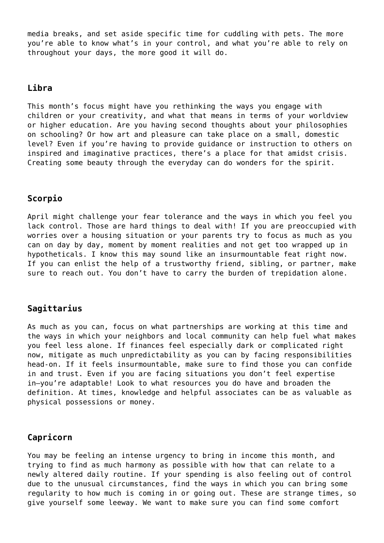media breaks, and set aside specific time for cuddling with pets. The more you're able to know what's in your control, and what you're able to rely on throughout your days, the more good it will do.

# **Libra**

This month's focus might have you rethinking the ways you engage with children or your creativity, and what that means in terms of your worldview or higher education. Are you having second thoughts about your philosophies on schooling? Or how art and pleasure can take place on a small, domestic level? Even if you're having to provide guidance or instruction to others on inspired and imaginative practices, there's a place for that amidst crisis. Creating some beauty through the everyday can do wonders for the spirit.

# **Scorpio**

April might challenge your fear tolerance and the ways in which you feel you lack control. Those are hard things to deal with! If you are preoccupied with worries over a housing situation or your parents try to focus as much as you can on day by day, moment by moment realities and not get too wrapped up in hypotheticals. I know this may sound like an insurmountable feat right now. If you can enlist the help of a trustworthy friend, sibling, or partner, make sure to reach out. You don't have to carry the burden of trepidation alone.

# **Sagittarius**

As much as you can, focus on what partnerships are working at this time and the ways in which your neighbors and local community can help fuel what makes you feel less alone. If finances feel especially dark or complicated right now, mitigate as much unpredictability as you can by facing responsibilities head-on. If it feels insurmountable, make sure to find those you can confide in and trust. Even if you are facing situations you don't feel expertise in—you're adaptable! Look to what resources you do have and broaden the definition. At times, knowledge and helpful associates can be as valuable as physical possessions or money.

# **Capricorn**

You may be feeling an intense urgency to bring in income this month, and trying to find as much harmony as possible with how that can relate to a newly altered daily routine. If your spending is also feeling out of control due to the unusual circumstances, find the ways in which you can bring some regularity to how much is coming in or going out. These are strange times, so give yourself some leeway. We want to make sure you can find some comfort